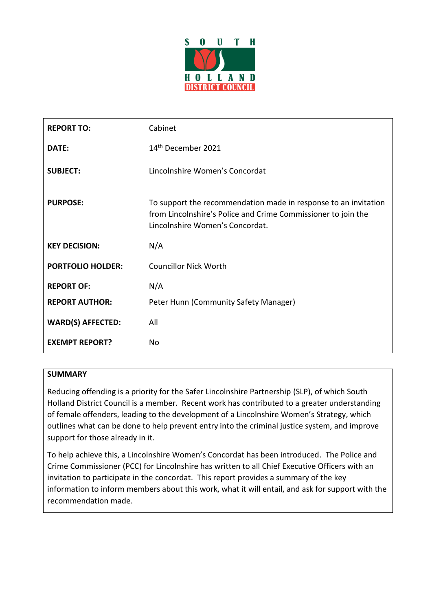

| <b>REPORT TO:</b>        | Cabinet                                                                                                                                                             |
|--------------------------|---------------------------------------------------------------------------------------------------------------------------------------------------------------------|
| DATE:                    | 14 <sup>th</sup> December 2021                                                                                                                                      |
| <b>SUBJECT:</b>          | Lincolnshire Women's Concordat                                                                                                                                      |
| <b>PURPOSE:</b>          | To support the recommendation made in response to an invitation<br>from Lincolnshire's Police and Crime Commissioner to join the<br>Lincolnshire Women's Concordat. |
| <b>KEY DECISION:</b>     | N/A                                                                                                                                                                 |
| <b>PORTFOLIO HOLDER:</b> | <b>Councillor Nick Worth</b>                                                                                                                                        |
| <b>REPORT OF:</b>        | N/A                                                                                                                                                                 |
| <b>REPORT AUTHOR:</b>    | Peter Hunn (Community Safety Manager)                                                                                                                               |
| <b>WARD(S) AFFECTED:</b> | All                                                                                                                                                                 |
| <b>EXEMPT REPORT?</b>    | No                                                                                                                                                                  |

# **SUMMARY**

Reducing offending is a priority for the Safer Lincolnshire Partnership (SLP), of which South Holland District Council is a member. Recent work has contributed to a greater understanding of female offenders, leading to the development of a Lincolnshire Women's Strategy, which outlines what can be done to help prevent entry into the criminal justice system, and improve support for those already in it.

To help achieve this, a Lincolnshire Women's Concordat has been introduced. The Police and Crime Commissioner (PCC) for Lincolnshire has written to all Chief Executive Officers with an invitation to participate in the concordat. This report provides a summary of the key information to inform members about this work, what it will entail, and ask for support with the recommendation made.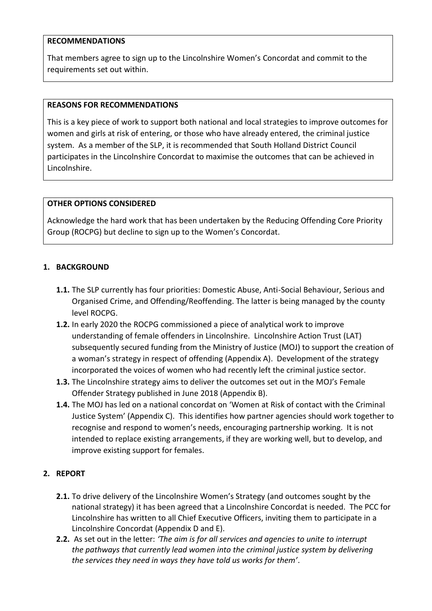### **RECOMMENDATIONS**

That members agree to sign up to the Lincolnshire Women's Concordat and commit to the requirements set out within.

### **REASONS FOR RECOMMENDATIONS**

This is a key piece of work to support both national and local strategies to improve outcomes for women and girls at risk of entering, or those who have already entered, the criminal justice system. As a member of the SLP, it is recommended that South Holland District Council participates in the Lincolnshire Concordat to maximise the outcomes that can be achieved in Lincolnshire.

# **OTHER OPTIONS CONSIDERED**

Acknowledge the hard work that has been undertaken by the Reducing Offending Core Priority Group (ROCPG) but decline to sign up to the Women's Concordat.

# **1. BACKGROUND**

- **1.1.** The SLP currently has four priorities: Domestic Abuse, Anti-Social Behaviour, Serious and Organised Crime, and Offending/Reoffending. The latter is being managed by the county level ROCPG.
- **1.2.** In early 2020 the ROCPG commissioned a piece of analytical work to improve understanding of female offenders in Lincolnshire. Lincolnshire Action Trust (LAT) subsequently secured funding from the Ministry of Justice (MOJ) to support the creation of a woman's strategy in respect of offending (Appendix A). Development of the strategy incorporated the voices of women who had recently left the criminal justice sector.
- **1.3.** The Lincolnshire strategy aims to deliver the outcomes set out in the MOJ's Female Offender Strategy published in June 2018 (Appendix B).
- **1.4.** The MOJ has led on a national concordat on 'Women at Risk of contact with the Criminal Justice System' (Appendix C). This identifies how partner agencies should work together to recognise and respond to women's needs, encouraging partnership working. It is not intended to replace existing arrangements, if they are working well, but to develop, and improve existing support for females.

# **2. REPORT**

- **2.1.** To drive delivery of the Lincolnshire Women's Strategy (and outcomes sought by the national strategy) it has been agreed that a Lincolnshire Concordat is needed. The PCC for Lincolnshire has written to all Chief Executive Officers, inviting them to participate in a Lincolnshire Concordat (Appendix D and E).
- **2.2.** As set out in the letter: *'The aim is for all services and agencies to unite to interrupt the pathways that currently lead women into the criminal justice system by delivering the services they need in ways they have told us works for them'*.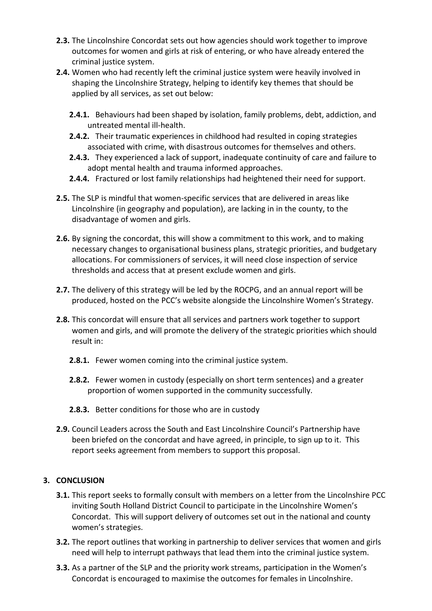- **2.3.** The Lincolnshire Concordat sets out how agencies should work together to improve outcomes for women and girls at risk of entering, or who have already entered the criminal justice system.
- **2.4.** Women who had recently left the criminal justice system were heavily involved in shaping the Lincolnshire Strategy, helping to identify key themes that should be applied by all services, as set out below:
	- **2.4.1.** Behaviours had been shaped by isolation, family problems, debt, addiction, and untreated mental ill-health.
	- **2.4.2.** Their traumatic experiences in childhood had resulted in coping strategies associated with crime, with disastrous outcomes for themselves and others.
	- **2.4.3.** They experienced a lack of support, inadequate continuity of care and failure to adopt mental health and trauma informed approaches.
	- **2.4.4.** Fractured or lost family relationships had heightened their need for support.
- **2.5.** The SLP is mindful that women-specific services that are delivered in areas like Lincolnshire (in geography and population), are lacking in in the county, to the disadvantage of women and girls.
- **2.6.** By signing the concordat, this will show a commitment to this work, and to making necessary changes to organisational business plans, strategic priorities, and budgetary allocations. For commissioners of services, it will need close inspection of service thresholds and access that at present exclude women and girls.
- **2.7.** The delivery of this strategy will be led by the ROCPG, and an annual report will be produced, hosted on the PCC's website alongside the Lincolnshire Women's Strategy.
- **2.8.** This concordat will ensure that all services and partners work together to support women and girls, and will promote the delivery of the strategic priorities which should result in:
	- **2.8.1.** Fewer women coming into the criminal justice system.
	- **2.8.2.** Fewer women in custody (especially on short term sentences) and a greater proportion of women supported in the community successfully.
	- **2.8.3.** Better conditions for those who are in custody
- **2.9.** Council Leaders across the South and East Lincolnshire Council's Partnership have been briefed on the concordat and have agreed, in principle, to sign up to it. This report seeks agreement from members to support this proposal.

# **3. CONCLUSION**

- **3.1.** This report seeks to formally consult with members on a letter from the Lincolnshire PCC inviting South Holland District Council to participate in the Lincolnshire Women's Concordat. This will support delivery of outcomes set out in the national and county women's strategies.
- **3.2.** The report outlines that working in partnership to deliver services that women and girls need will help to interrupt pathways that lead them into the criminal justice system.
- **3.3.** As a partner of the SLP and the priority work streams, participation in the Women's Concordat is encouraged to maximise the outcomes for females in Lincolnshire.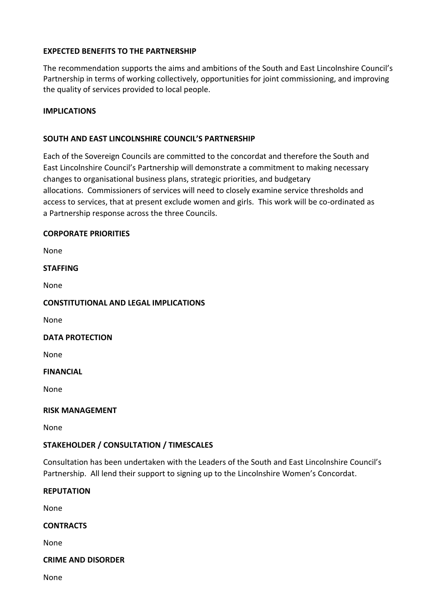### **EXPECTED BENEFITS TO THE PARTNERSHIP**

The recommendation supports the aims and ambitions of the South and East Lincolnshire Council's Partnership in terms of working collectively, opportunities for joint commissioning, and improving the quality of services provided to local people.

### **IMPLICATIONS**

### **SOUTH AND EAST LINCOLNSHIRE COUNCIL'S PARTNERSHIP**

Each of the Sovereign Councils are committed to the concordat and therefore the South and East Lincolnshire Council's Partnership will demonstrate a commitment to making necessary changes to organisational business plans, strategic priorities, and budgetary allocations. Commissioners of services will need to closely examine service thresholds and access to services, that at present exclude women and girls. This work will be co-ordinated as a Partnership response across the three Councils.

### **CORPORATE PRIORITIES**

None

#### **STAFFING**

None

### **CONSTITUTIONAL AND LEGAL IMPLICATIONS**

None

#### **DATA PROTECTION**

None

#### **FINANCIAL**

None

#### **RISK MANAGEMENT**

None

# **STAKEHOLDER / CONSULTATION / TIMESCALES**

Consultation has been undertaken with the Leaders of the South and East Lincolnshire Council's Partnership. All lend their support to signing up to the Lincolnshire Women's Concordat.

#### **REPUTATION**

None

# **CONTRACTS**

None

#### **CRIME AND DISORDER**

None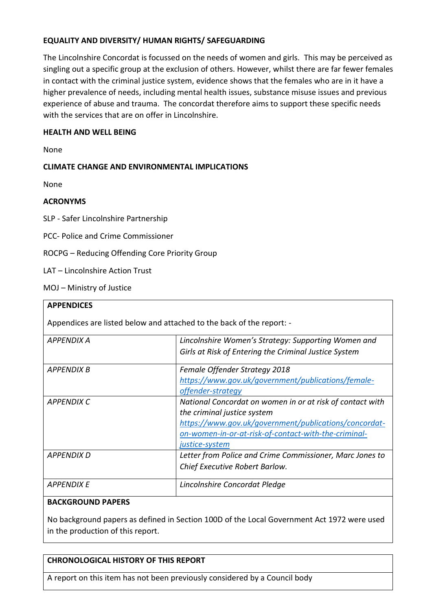# **EQUALITY AND DIVERSITY/ HUMAN RIGHTS/ SAFEGUARDING**

The Lincolnshire Concordat is focussed on the needs of women and girls. This may be perceived as singling out a specific group at the exclusion of others. However, whilst there are far fewer females in contact with the criminal justice system, evidence shows that the females who are in it have a higher prevalence of needs, including mental health issues, substance misuse issues and previous experience of abuse and trauma. The concordat therefore aims to support these specific needs with the services that are on offer in Lincolnshire.

### **HEALTH AND WELL BEING**

None

# **CLIMATE CHANGE AND ENVIRONMENTAL IMPLICATIONS**

None

### **ACRONYMS**

SLP - Safer Lincolnshire Partnership

PCC- Police and Crime Commissioner

ROCPG – Reducing Offending Core Priority Group

LAT – Lincolnshire Action Trust

MOJ – Ministry of Justice

#### **APPENDICES**

Appendices are listed below and attached to the back of the report: -

| APPENDIX A        | Lincolnshire Women's Strategy: Supporting Women and       |
|-------------------|-----------------------------------------------------------|
|                   | Girls at Risk of Entering the Criminal Justice System     |
| APPENDIX B        | Female Offender Strategy 2018                             |
|                   | https://www.gov.uk/government/publications/female-        |
|                   | offender-strategy                                         |
| APPENDIX C        | National Concordat on women in or at risk of contact with |
|                   | the criminal justice system                               |
|                   | https://www.gov.uk/government/publications/concordat-     |
|                   | on-women-in-or-at-risk-of-contact-with-the-criminal-      |
|                   | justice-system                                            |
| <b>APPENDIX D</b> | Letter from Police and Crime Commissioner, Marc Jones to  |
|                   | Chief Executive Robert Barlow.                            |
| <b>APPENDIX E</b> | Lincolnshire Concordat Pledge                             |
|                   |                                                           |

#### **BACKGROUND PAPERS**

No background papers as defined in Section 100D of the Local Government Act 1972 were used in the production of this report.

# **CHRONOLOGICAL HISTORY OF THIS REPORT**

A report on this item has not been previously considered by a Council body